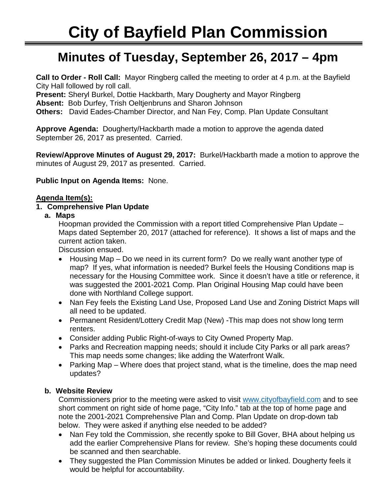# ٦ **Minutes of Tuesday, September 26, 2017 – 4pm**

**Call to Order - Roll Call:** Mayor Ringberg called the meeting to order at 4 p.m. at the Bayfield City Hall followed by roll call.

**Present:** Sheryl Burkel, Dottie Hackbarth, Mary Dougherty and Mayor Ringberg

**Absent:** Bob Durfey, Trish Oeltjenbruns and Sharon Johnson

**Others:** David Eades-Chamber Director, and Nan Fey, Comp. Plan Update Consultant

**Approve Agenda:** Dougherty/Hackbarth made a motion to approve the agenda dated September 26, 2017 as presented. Carried.

**Review/Approve Minutes of August 29, 2017:** Burkel/Hackbarth made a motion to approve the minutes of August 29, 2017 as presented. Carried.

**Public Input on Agenda Items:** None.

### **Agenda Item(s):**

# **1. Comprehensive Plan Update**

**a. Maps** 

Hoopman provided the Commission with a report titled Comprehensive Plan Update – Maps dated September 20, 2017 (attached for reference). It shows a list of maps and the current action taken.

Discussion ensued.

- Housing Map Do we need in its current form? Do we really want another type of map? If yes, what information is needed? Burkel feels the Housing Conditions map is necessary for the Housing Committee work. Since it doesn't have a title or reference, it was suggested the 2001-2021 Comp. Plan Original Housing Map could have been done with Northland College support.
- Nan Fey feels the Existing Land Use, Proposed Land Use and Zoning District Maps will all need to be updated.
- Permanent Resident/Lottery Credit Map (New) -This map does not show long term renters.
- Consider adding Public Right-of-ways to City Owned Property Map.
- Parks and Recreation mapping needs; should it include City Parks or all park areas? This map needs some changes; like adding the Waterfront Walk.
- Parking Map Where does that project stand, what is the timeline, does the map need updates?

# **b. Website Review**

Commissioners prior to the meeting were asked to visit [www.cityofbayfield.com](http://www.cityofbayfield.com/) and to see short comment on right side of home page, "City Info." tab at the top of home page and note the 2001-2021 Comprehensive Plan and Comp. Plan Update on drop-down tab below. They were asked if anything else needed to be added?

- Nan Fey told the Commission, she recently spoke to Bill Gover, BHA about helping us add the earlier Comprehensive Plans for review. She's hoping these documents could be scanned and then searchable.
- They suggested the Plan Commission Minutes be added or linked. Dougherty feels it would be helpful for accountability.